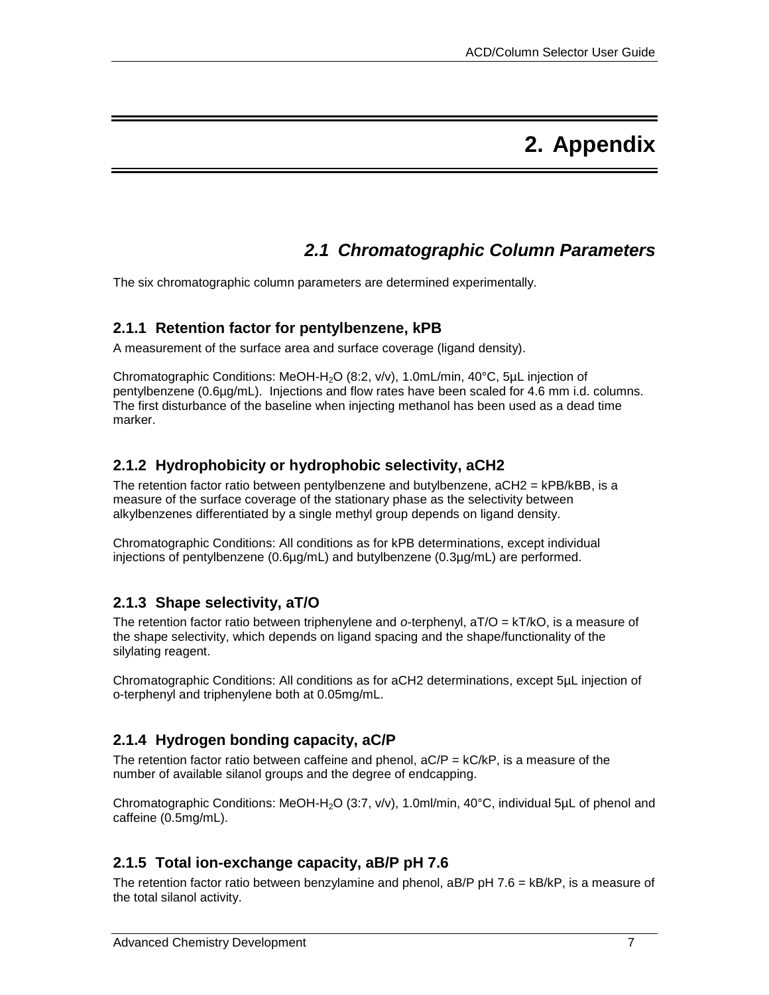# **2. Appendix**

## *2.1 Chromatographic Column Parameters*

The six chromatographic column parameters are determined experimentally.

#### **2.1.1 Retention factor for pentylbenzene, kPB**

A measurement of the surface area and surface coverage (ligand density).

Chromatographic Conditions: MeOH-H<sub>2</sub>O (8:2, v/v), 1.0mL/min, 40°C, 5µL injection of pentylbenzene (0.6µg/mL). Injections and flow rates have been scaled for 4.6 mm i.d. columns. The first disturbance of the baseline when injecting methanol has been used as a dead time marker.

#### **2.1.2 Hydrophobicity or hydrophobic selectivity, aCH2**

The retention factor ratio between pentylbenzene and butylbenzene, aCH2 = kPB/kBB, is a measure of the surface coverage of the stationary phase as the selectivity between alkylbenzenes differentiated by a single methyl group depends on ligand density.

Chromatographic Conditions: All conditions as for kPB determinations, except individual injections of pentylbenzene (0.6µg/mL) and butylbenzene (0.3µg/mL) are performed.

#### **2.1.3 Shape selectivity, aT/O**

The retention factor ratio between triphenylene and *o*-terphenyl, aT/O = kT/kO, is a measure of the shape selectivity, which depends on ligand spacing and the shape/functionality of the silylating reagent.

Chromatographic Conditions: All conditions as for aCH2 determinations, except 5µL injection of o-terphenyl and triphenylene both at 0.05mg/mL.

#### **2.1.4 Hydrogen bonding capacity, aC/P**

The retention factor ratio between caffeine and phenol,  $aC/P = kC/kP$ , is a measure of the number of available silanol groups and the degree of endcapping.

Chromatographic Conditions: MeOH-H<sub>2</sub>O (3:7, v/v), 1.0ml/min, 40°C, individual 5µL of phenol and caffeine (0.5mg/mL).

#### **2.1.5 Total ion-exchange capacity, aB/P pH 7.6**

The retention factor ratio between benzylamine and phenol, aB/P pH 7.6 = kB/kP, is a measure of the total silanol activity.